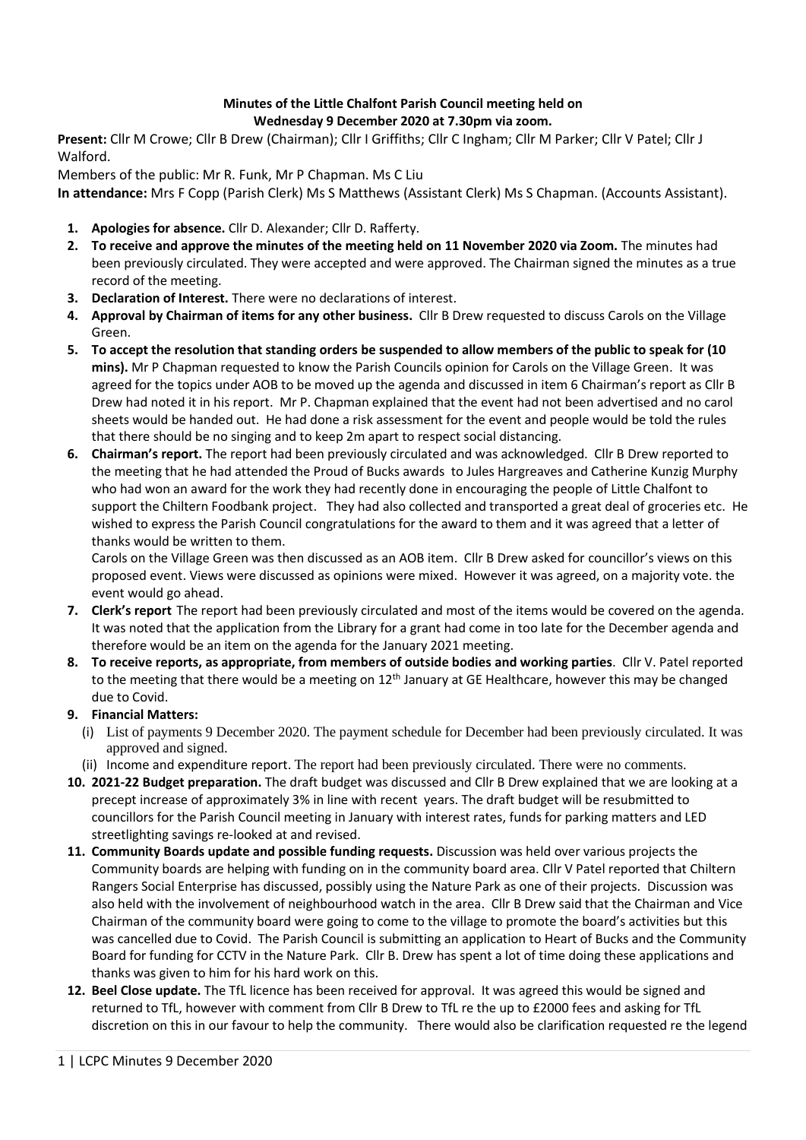## **Minutes of the Little Chalfont Parish Council meeting held on Wednesday 9 December 2020 at 7.30pm via zoom.**

**Present:** Cllr M Crowe; Cllr B Drew (Chairman); Cllr I Griffiths; Cllr C Ingham; Cllr M Parker; Cllr V Patel; Cllr J Walford.

Members of the public: Mr R. Funk, Mr P Chapman. Ms C Liu

**In attendance:** Mrs F Copp (Parish Clerk) Ms S Matthews (Assistant Clerk) Ms S Chapman. (Accounts Assistant).

- **1. Apologies for absence.** Cllr D. Alexander; Cllr D. Rafferty.
- **2. To receive and approve the minutes of the meeting held on 11 November 2020 via Zoom.** The minutes had been previously circulated. They were accepted and were approved. The Chairman signed the minutes as a true record of the meeting.
- **3. Declaration of Interest.** There were no declarations of interest.
- **4. Approval by Chairman of items for any other business.** Cllr B Drew requested to discuss Carols on the Village Green.
- **5. To accept the resolution that standing orders be suspended to allow members of the public to speak for (10 mins).** Mr P Chapman requested to know the Parish Councils opinion for Carols on the Village Green. It was agreed for the topics under AOB to be moved up the agenda and discussed in item 6 Chairman's report as Cllr B Drew had noted it in his report. Mr P. Chapman explained that the event had not been advertised and no carol sheets would be handed out. He had done a risk assessment for the event and people would be told the rules that there should be no singing and to keep 2m apart to respect social distancing.
- **6. Chairman's report.** The report had been previously circulated and was acknowledged. Cllr B Drew reported to the meeting that he had attended the Proud of Bucks awards to Jules Hargreaves and Catherine Kunzig Murphy who had won an award for the work they had recently done in encouraging the people of Little Chalfont to support the Chiltern Foodbank project. They had also collected and transported a great deal of groceries etc. He wished to express the Parish Council congratulations for the award to them and it was agreed that a letter of thanks would be written to them.

Carols on the Village Green was then discussed as an AOB item. Cllr B Drew asked for councillor's views on this proposed event. Views were discussed as opinions were mixed. However it was agreed, on a majority vote. the event would go ahead.

- **7. Clerk's report** The report had been previously circulated and most of the items would be covered on the agenda. It was noted that the application from the Library for a grant had come in too late for the December agenda and therefore would be an item on the agenda for the January 2021 meeting.
- **8. To receive reports, as appropriate, from members of outside bodies and working parties**. Cllr V. Patel reported to the meeting that there would be a meeting on  $12<sup>th</sup>$  January at GE Healthcare, however this may be changed due to Covid.

## **9. Financial Matters:**

- (i) List of payments 9 December 2020. The payment schedule for December had been previously circulated. It was approved and signed.
- (ii) Income and expenditure report. The report had been previously circulated. There were no comments.
- **10. 2021-22 Budget preparation.** The draft budget was discussed and Cllr B Drew explained that we are looking at a precept increase of approximately 3% in line with recent years. The draft budget will be resubmitted to councillors for the Parish Council meeting in January with interest rates, funds for parking matters and LED streetlighting savings re-looked at and revised.
- **11. Community Boards update and possible funding requests.** Discussion was held over various projects the Community boards are helping with funding on in the community board area. Cllr V Patel reported that Chiltern Rangers Social Enterprise has discussed, possibly using the Nature Park as one of their projects. Discussion was also held with the involvement of neighbourhood watch in the area. Cllr B Drew said that the Chairman and Vice Chairman of the community board were going to come to the village to promote the board's activities but this was cancelled due to Covid. The Parish Council is submitting an application to Heart of Bucks and the Community Board for funding for CCTV in the Nature Park. Cllr B. Drew has spent a lot of time doing these applications and thanks was given to him for his hard work on this.
- **12. Beel Close update.** The TfL licence has been received for approval. It was agreed this would be signed and returned to TfL, however with comment from Cllr B Drew to TfL re the up to £2000 fees and asking for TfL discretion on this in our favour to help the community. There would also be clarification requested re the legend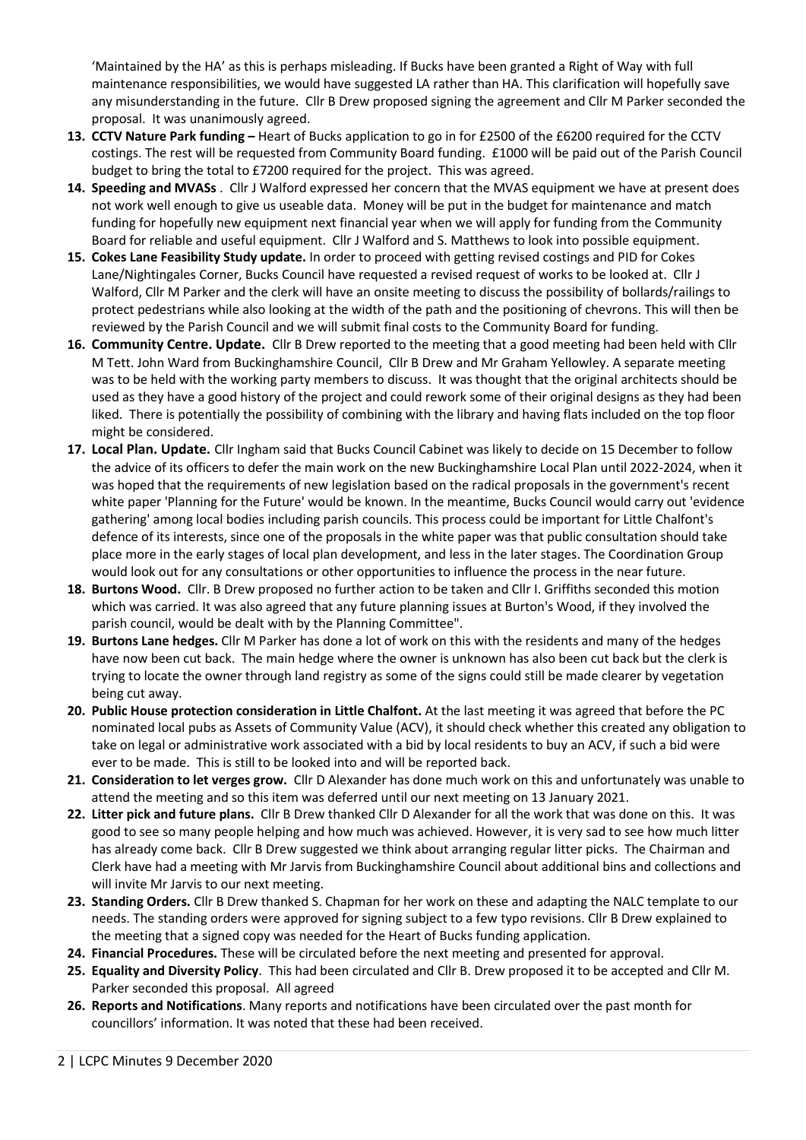'Maintained by the HA' as this is perhaps misleading. If Bucks have been granted a Right of Way with full maintenance responsibilities, we would have suggested LA rather than HA. This clarification will hopefully save any misunderstanding in the future. Cllr B Drew proposed signing the agreement and Cllr M Parker seconded the proposal. It was unanimously agreed.

- **13. CCTV Nature Park funding –** Heart of Bucks application to go in for £2500 of the £6200 required for the CCTV costings. The rest will be requested from Community Board funding. £1000 will be paid out of the Parish Council budget to bring the total to £7200 required for the project. This was agreed.
- **14. Speeding and MVASs** . Cllr J Walford expressed her concern that the MVAS equipment we have at present does not work well enough to give us useable data. Money will be put in the budget for maintenance and match funding for hopefully new equipment next financial year when we will apply for funding from the Community Board for reliable and useful equipment. Cllr J Walford and S. Matthews to look into possible equipment.
- **15. Cokes Lane Feasibility Study update.** In order to proceed with getting revised costings and PID for Cokes Lane/Nightingales Corner, Bucks Council have requested a revised request of works to be looked at. Cllr J Walford, Cllr M Parker and the clerk will have an onsite meeting to discuss the possibility of bollards/railings to protect pedestrians while also looking at the width of the path and the positioning of chevrons. This will then be reviewed by the Parish Council and we will submit final costs to the Community Board for funding.
- **16. Community Centre. Update.** Cllr B Drew reported to the meeting that a good meeting had been held with Cllr M Tett. John Ward from Buckinghamshire Council, Cllr B Drew and Mr Graham Yellowley. A separate meeting was to be held with the working party members to discuss. It was thought that the original architects should be used as they have a good history of the project and could rework some of their original designs as they had been liked. There is potentially the possibility of combining with the library and having flats included on the top floor might be considered.
- **17. Local Plan. Update.** Cllr Ingham said that Bucks Council Cabinet was likely to decide on 15 December to follow the advice of its officers to defer the main work on the new Buckinghamshire Local Plan until 2022-2024, when it was hoped that the requirements of new legislation based on the radical proposals in the government's recent white paper 'Planning for the Future' would be known. In the meantime, Bucks Council would carry out 'evidence gathering' among local bodies including parish councils. This process could be important for Little Chalfont's defence of its interests, since one of the proposals in the white paper was that public consultation should take place more in the early stages of local plan development, and less in the later stages. The Coordination Group would look out for any consultations or other opportunities to influence the process in the near future.
- **18. Burtons Wood.** Cllr. B Drew proposed no further action to be taken and Cllr I. Griffiths seconded this motion which was carried. It was also agreed that any future planning issues at Burton's Wood, if they involved the parish council, would be dealt with by the Planning Committee".
- **19. Burtons Lane hedges.** Cllr M Parker has done a lot of work on this with the residents and many of the hedges have now been cut back. The main hedge where the owner is unknown has also been cut back but the clerk is trying to locate the owner through land registry as some of the signs could still be made clearer by vegetation being cut away.
- **20. Public House protection consideration in Little Chalfont.** At the last meeting it was agreed that before the PC nominated local pubs as Assets of Community Value (ACV), it should check whether this created any obligation to take on legal or administrative work associated with a bid by local residents to buy an ACV, if such a bid were ever to be made. This is still to be looked into and will be reported back.
- **21. Consideration to let verges grow.** Cllr D Alexander has done much work on this and unfortunately was unable to attend the meeting and so this item was deferred until our next meeting on 13 January 2021.
- **22. Litter pick and future plans.** Cllr B Drew thanked Cllr D Alexander for all the work that was done on this. It was good to see so many people helping and how much was achieved. However, it is very sad to see how much litter has already come back. Cllr B Drew suggested we think about arranging regular litter picks. The Chairman and Clerk have had a meeting with Mr Jarvis from Buckinghamshire Council about additional bins and collections and will invite Mr Jarvis to our next meeting.
- **23. Standing Orders.** Cllr B Drew thanked S. Chapman for her work on these and adapting the NALC template to our needs. The standing orders were approved for signing subject to a few typo revisions. Cllr B Drew explained to the meeting that a signed copy was needed for the Heart of Bucks funding application.
- **24. Financial Procedures.** These will be circulated before the next meeting and presented for approval.
- **25. Equality and Diversity Policy**. This had been circulated and Cllr B. Drew proposed it to be accepted and Cllr M. Parker seconded this proposal. All agreed
- **26. Reports and Notifications**. Many reports and notifications have been circulated over the past month for councillors' information. It was noted that these had been received.